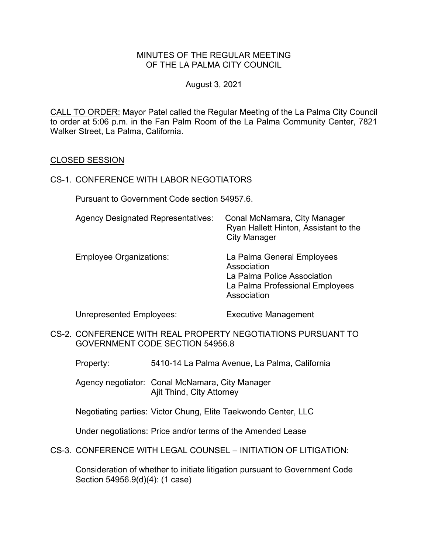# MINUTES OF THE REGULAR MEETING OF THE LA PALMA CITY COUNCIL

### August 3, 2021

CALL TO ORDER: Mayor Patel called the Regular Meeting of the La Palma City Council to order at 5:06 p.m. in the Fan Palm Room of the La Palma Community Center, 7821 Walker Street, La Palma, California.

#### CLOSED SESSION

#### CS-1. CONFERENCE WITH LABOR NEGOTIATORS

Pursuant to Government Code section 54957.6.

| <b>Agency Designated Representatives:</b> | Conal McNamara, City Manager<br>Ryan Hallett Hinton, Assistant to the<br><b>City Manager</b>                               |
|-------------------------------------------|----------------------------------------------------------------------------------------------------------------------------|
| <b>Employee Organizations:</b>            | La Palma General Employees<br>Association<br>La Palma Police Association<br>La Palma Professional Employees<br>Association |

Unrepresented Employees: Executive Management

- CS-2. CONFERENCE WITH REAL PROPERTY NEGOTIATIONS PURSUANT TO GOVERNMENT CODE SECTION 54956.8
	- Property: 5410-14 La Palma Avenue, La Palma, California

 Agency negotiator: Conal McNamara, City Manager Ajit Thind, City Attorney

Negotiating parties: Victor Chung, Elite Taekwondo Center, LLC

Under negotiations: Price and/or terms of the Amended Lease

CS-3. CONFERENCE WITH LEGAL COUNSEL – INITIATION OF LITIGATION:

Consideration of whether to initiate litigation pursuant to Government Code Section 54956.9(d)(4): (1 case)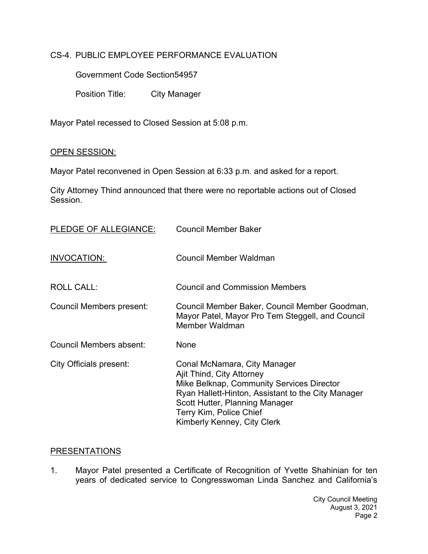# CS-4. PUBLIC EMPLOYEE PERFORMANCE EVALUATION

Government Code Section54957

Position Title: City Manager

Mayor Patel recessed to Closed Session at 5:08 p.m.

#### OPEN SESSION:

Mayor Patel reconvened in Open Session at 6:33 p.m. and asked for a report.

City Attorney Thind announced that there were no reportable actions out of Closed Session.

| PLEDGE OF ALLEGIANCE:          | <b>Council Member Baker</b>                                                                                                                                                                                                                              |
|--------------------------------|----------------------------------------------------------------------------------------------------------------------------------------------------------------------------------------------------------------------------------------------------------|
| INVOCATION:                    | Council Member Waldman                                                                                                                                                                                                                                   |
| <b>ROLL CALL:</b>              | <b>Council and Commission Members</b>                                                                                                                                                                                                                    |
| Council Members present:       | Council Member Baker, Council Member Goodman,<br>Mayor Patel, Mayor Pro Tem Steggell, and Council<br>Member Waldman                                                                                                                                      |
| Council Members absent:        | None                                                                                                                                                                                                                                                     |
| <b>City Officials present:</b> | Conal McNamara, City Manager<br>Ajit Thind, City Attorney<br>Mike Belknap, Community Services Director<br>Ryan Hallett-Hinton, Assistant to the City Manager<br>Scott Hutter, Planning Manager<br>Terry Kim, Police Chief<br>Kimberly Kenney, City Clerk |

#### PRESENTATIONS

1. Mayor Patel presented a Certificate of Recognition of Yvette Shahinian for ten years of dedicated service to Congresswoman Linda Sanchez and California's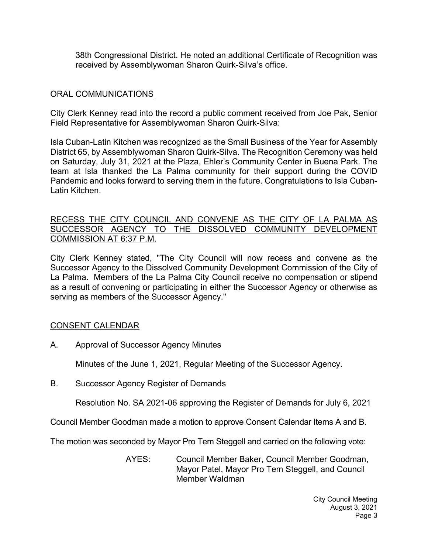38th Congressional District. He noted an additional Certificate of Recognition was received by Assemblywoman Sharon Quirk-Silva's office.

### ORAL COMMUNICATIONS

City Clerk Kenney read into the record a public comment received from Joe Pak, Senior Field Representative for Assemblywoman Sharon Quirk-Silva:

Isla Cuban-Latin Kitchen was recognized as the Small Business of the Year for Assembly District 65, by Assemblywoman Sharon Quirk-Silva. The Recognition Ceremony was held on Saturday, July 31, 2021 at the Plaza, Ehler's Community Center in Buena Park. The team at Isla thanked the La Palma community for their support during the COVID Pandemic and looks forward to serving them in the future. Congratulations to Isla Cuban-Latin Kitchen.

### RECESS THE CITY COUNCIL AND CONVENE AS THE CITY OF LA PALMA AS SUCCESSOR AGENCY TO THE DISSOLVED COMMUNITY DEVELOPMENT COMMISSION AT 6:37 P.M.

City Clerk Kenney stated, "The City Council will now recess and convene as the Successor Agency to the Dissolved Community Development Commission of the City of La Palma. Members of the La Palma City Council receive no compensation or stipend as a result of convening or participating in either the Successor Agency or otherwise as serving as members of the Successor Agency."

# CONSENT CALENDAR

A. Approval of Successor Agency Minutes

Minutes of the June 1, 2021, Regular Meeting of the Successor Agency.

B. Successor Agency Register of Demands

Resolution No. SA 2021-06 approving the Register of Demands for July 6, 2021

Council Member Goodman made a motion to approve Consent Calendar Items A and B.

The motion was seconded by Mayor Pro Tem Steggell and carried on the following vote:

AYES: Council Member Baker, Council Member Goodman, Mayor Patel, Mayor Pro Tem Steggell, and Council Member Waldman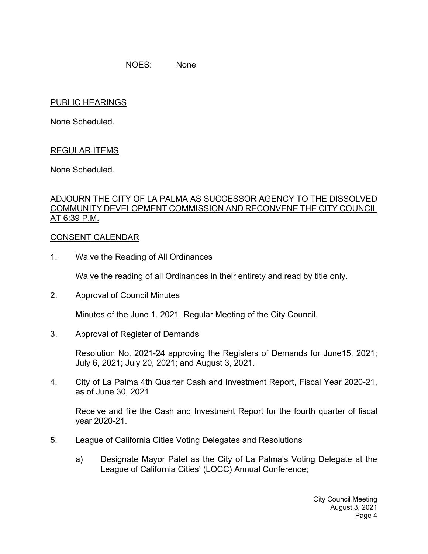NOES: None

### PUBLIC HEARINGS

None Scheduled.

# REGULAR ITEMS

None Scheduled.

# ADJOURN THE CITY OF LA PALMA AS SUCCESSOR AGENCY TO THE DISSOLVED COMMUNITY DEVELOPMENT COMMISSION AND RECONVENE THE CITY COUNCIL AT 6:39 P.M.

#### CONSENT CALENDAR

1. Waive the Reading of All Ordinances

Waive the reading of all Ordinances in their entirety and read by title only.

2. Approval of Council Minutes

Minutes of the June 1, 2021, Regular Meeting of the City Council.

3. Approval of Register of Demands

Resolution No. 2021-24 approving the Registers of Demands for June15, 2021; July 6, 2021; July 20, 2021; and August 3, 2021.

4. City of La Palma 4th Quarter Cash and Investment Report, Fiscal Year 2020-21, as of June 30, 2021

Receive and file the Cash and Investment Report for the fourth quarter of fiscal year 2020-21.

- 5. League of California Cities Voting Delegates and Resolutions
	- a) Designate Mayor Patel as the City of La Palma's Voting Delegate at the League of California Cities' (LOCC) Annual Conference;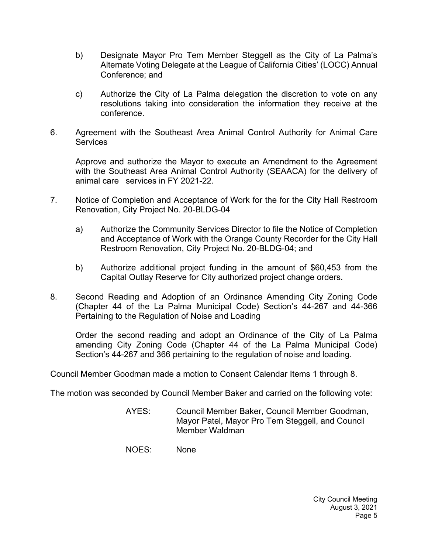- b) Designate Mayor Pro Tem Member Steggell as the City of La Palma's Alternate Voting Delegate at the League of California Cities' (LOCC) Annual Conference; and
- c) Authorize the City of La Palma delegation the discretion to vote on any resolutions taking into consideration the information they receive at the conference.
- 6. Agreement with the Southeast Area Animal Control Authority for Animal Care **Services**

Approve and authorize the Mayor to execute an Amendment to the Agreement with the Southeast Area Animal Control Authority (SEAACA) for the delivery of animal care services in FY 2021-22.

- 7. Notice of Completion and Acceptance of Work for the for the City Hall Restroom Renovation, City Project No. 20-BLDG-04
	- a) Authorize the Community Services Director to file the Notice of Completion and Acceptance of Work with the Orange County Recorder for the City Hall Restroom Renovation, City Project No. 20-BLDG-04; and
	- b) Authorize additional project funding in the amount of \$60,453 from the Capital Outlay Reserve for City authorized project change orders.
- 8. Second Reading and Adoption of an Ordinance Amending City Zoning Code (Chapter 44 of the La Palma Municipal Code) Section's 44-267 and 44-366 Pertaining to the Regulation of Noise and Loading

Order the second reading and adopt an Ordinance of the City of La Palma amending City Zoning Code (Chapter 44 of the La Palma Municipal Code) Section's 44-267 and 366 pertaining to the regulation of noise and loading.

Council Member Goodman made a motion to Consent Calendar Items 1 through 8.

The motion was seconded by Council Member Baker and carried on the following vote:

- AYES: Council Member Baker, Council Member Goodman, Mayor Patel, Mayor Pro Tem Steggell, and Council Member Waldman
- NOES: None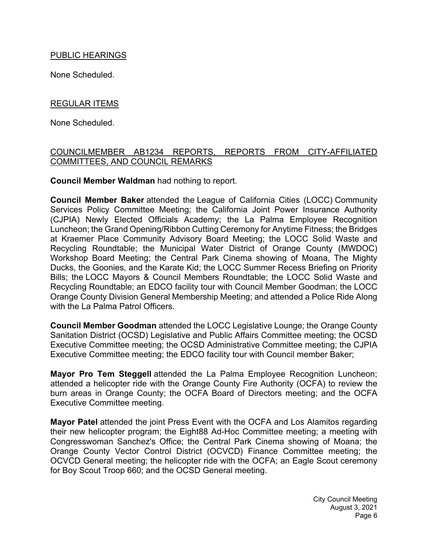# PUBLIC HEARINGS

None Scheduled.

# REGULAR ITEMS

None Scheduled.

# COUNCILMEMBER AB1234 REPORTS, REPORTS FROM CITY-AFFILIATED COMMITTEES, AND COUNCIL REMARKS

**Council Member Waldman** had nothing to report.

**Council Member Baker** attended the League of California Cities (LOCC) Community Services Policy Committee Meeting; the California Joint Power Insurance Authority (CJPIA) Newly Elected Officials Academy; the La Palma Employee Recognition Luncheon; the Grand Opening/Ribbon Cutting Ceremony for Anytime Fitness; the Bridges at Kraemer Place Community Advisory Board Meeting; the LOCC Solid Waste and Recycling Roundtable; the Municipal Water District of Orange County (MWDOC) Workshop Board Meeting; the Central Park Cinema showing of Moana, The Mighty Ducks, the Goonies, and the Karate Kid; the LOCC Summer Recess Briefing on Priority Bills; the LOCC Mayors & Council Members Roundtable; the LOCC Solid Waste and Recycling Roundtable; an EDCO facility tour with Council Member Goodman; the LOCC Orange County Division General Membership Meeting; and attended a Police Ride Along with the La Palma Patrol Officers

**Council Member Goodman** attended the LOCC Legislative Lounge; the Orange County Sanitation District (OCSD) Legislative and Public Affairs Committee meeting; the OCSD Executive Committee meeting; the OCSD Administrative Committee meeting; the CJPIA Executive Committee meeting; the EDCO facility tour with Council member Baker;

**Mayor Pro Tem Steggell** attended the La Palma Employee Recognition Luncheon; attended a helicopter ride with the Orange County Fire Authority (OCFA) to review the burn areas in Orange County; the OCFA Board of Directors meeting; and the OCFA Executive Committee meeting.

**Mayor Patel** attended the joint Press Event with the OCFA and Los Alamitos regarding their new helicopter program; the Eight88 Ad-Hoc Committee meeting; a meeting with Congresswoman Sanchez's Office; the Central Park Cinema showing of Moana; the Orange County Vector Control District (OCVCD) Finance Committee meeting; the OCVCD General meeting; the helicopter ride with the OCFA; an Eagle Scout ceremony for Boy Scout Troop 660; and the OCSD General meeting.